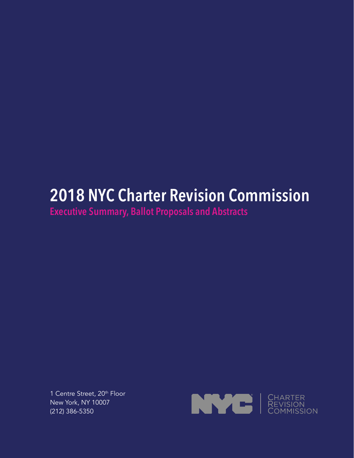# **2018 NYC Charter Revision Commission**

**Executive Summary, Ballot Proposals and Abstracts**

1 Centre Street, 20<sup>th</sup> Floor New York, NY 10007 (212) 386-5350

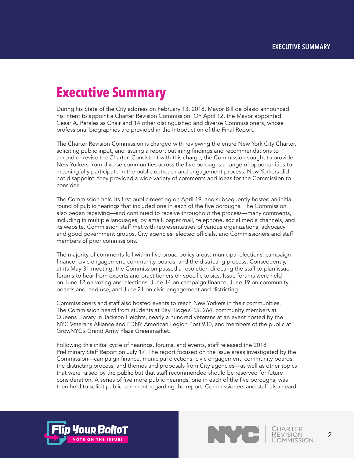# **Executive Summary**

During his State of the City address on February 13, 2018, Mayor Bill de Blasio announced his intent to appoint a Charter Revision Commission. On April 12, the Mayor appointed Cesar A. Perales as Chair and 14 other distinguished and diverse Commissioners, whose professional biographies are provided in the Introduction of the Final Report.

The Charter Revision Commission is charged with reviewing the entire New York City Charter, soliciting public input, and issuing a report outlining findings and recommendations to amend or revise the Charter. Consistent with this charge, the Commission sought to provide New Yorkers from diverse communities across the five boroughs a range of opportunities to meaningfully participate in the public outreach and engagement process. New Yorkers did not disappoint: they provided a wide variety of comments and ideas for the Commission to consider.

The Commission held its first public meeting on April 19, and subsequently hosted an initial round of public hearings that included one in each of the five boroughs. The Commission also began receiving—and continued to receive throughout the process—many comments, including in multiple languages, by email, paper mail, telephone, social media channels, and its website. Commission staff met with representatives of various organizations, advocacy and good government groups, City agencies, elected officials, and Commissioners and staff members of prior commissions.

The majority of comments fell within five broad policy areas: municipal elections, campaign finance, civic engagement, community boards, and the districting process. Consequently, at its May 31 meeting, the Commission passed a resolution directing the staff to plan issue forums to hear from experts and practitioners on specific topics. Issue forums were held on June 12 on voting and elections, June 14 on campaign finance, June 19 on community boards and land use, and June 21 on civic engagement and districting.

Commissioners and staff also hosted events to reach New Yorkers in their communities. The Commission heard from students at Bay Ridge's P.S. 264, community members at Queens Library in Jackson Heights, nearly a hundred veterans at an event hosted by the NYC Veterans Alliance and FDNY American Legion Post 930, and members of the public at GrowNYC's Grand Army Plaza Greenmarket.

Following this initial cycle of hearings, forums, and events, staff released the 2018 Preliminary Staff Report on July 17. The report focused on the issue areas investigated by the Commission—campaign finance, municipal elections, civic engagement, community boards, the districting process, and themes and proposals from City agencies—as well as other topics that were raised by the public but that staff recommended should be reserved for future consideration. A series of five more public hearings, one in each of the five boroughs, was then held to solicit public comment regarding the report. Commissioners and staff also heard



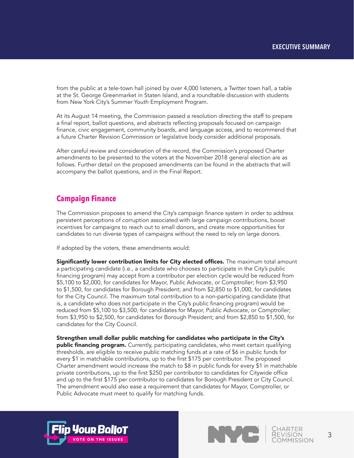from the public at a tele-town hall joined by over 4,000 listeners, a Twitter town hall, a table at the St. George Greenmarket in Staten Island, and a roundtable discussion with students from New York City's Summer Youth Employment Program.

At its August 14 meeting, the Commission passed a resolution directing the staff to prepare a final report, ballot questions, and abstracts reflecting proposals focused on campaign finance, civic engagement, community boards, and language access, and to recommend that a future Charter Revision Commission or legislative body consider additional proposals.

After careful review and consideration of the record, the Commission's proposed Charter amendments to be presented to the voters at the November 2018 general election are as follows. Further detail on the proposed amendments can be found in the abstracts that will accompany the ballot questions, and in the Final Report.

# **Campaign Finance**

The Commission proposes to amend the City's campaign finance system in order to address persistent perceptions of corruption associated with large campaign contributions, boost incentives for campaigns to reach out to small donors, and create more opportunities for candidates to run diverse types of campaigns without the need to rely on large donors.

If adopted by the voters, these amendments would:

Significantly lower contribution limits for City elected offices. The maximum total amount a participating candidate (i.e., a candidate who chooses to participate in the City's public financing program) may accept from a contributor per election cycle would be reduced from \$5,100 to \$2,000, for candidates for Mayor, Public Advocate, or Comptroller; from \$3,950 to \$1,500, for candidates for Borough President; and from \$2,850 to \$1,000, for candidates for the City Council. The maximum total contribution to a non-participating candidate (that is, a candidate who does not participate in the City's public financing program) would be reduced from \$5,100 to \$3,500, for candidates for Mayor, Public Advocate, or Comptroller; from \$3,950 to \$2,500, for candidates for Borough President; and from \$2,850 to \$1,500, for candidates for the City Council.

Strengthen small dollar public matching for candidates who participate in the City's **public financing program.** Currently, participating candidates, who meet certain qualifying thresholds, are eligible to receive public matching funds at a rate of \$6 in public funds for every \$1 in matchable contributions, up to the first \$175 per contributor. The proposed Charter amendment would increase the match to \$8 in public funds for every \$1 in matchable private contributions, up to the first \$250 per contributor to candidates for Citywide office and up to the first \$175 per contributor to candidates for Borough President or City Council. The amendment would also ease a requirement that candidates for Mayor, Comptroller, or Public Advocate must meet to qualify for matching funds.



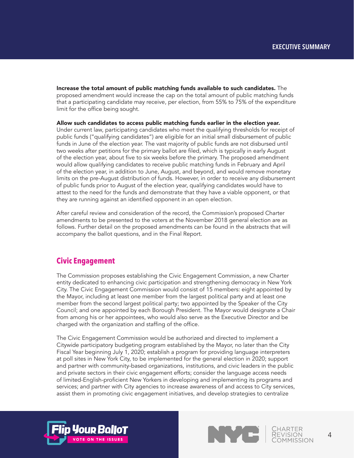Increase the total amount of public matching funds available to such candidates. The proposed amendment would increase the cap on the total amount of public matching funds that a participating candidate may receive, per election, from 55% to 75% of the expenditure limit for the office being sought.

Allow such candidates to access public matching funds earlier in the election year. Under current law, participating candidates who meet the qualifying thresholds for receipt of public funds ("qualifying candidates") are eligible for an initial small disbursement of public funds in June of the election year. The vast majority of public funds are not disbursed until two weeks after petitions for the primary ballot are filed, which is typically in early August of the election year, about five to six weeks before the primary. The proposed amendment would allow qualifying candidates to receive public matching funds in February and April of the election year, in addition to June, August, and beyond, and would remove monetary limits on the pre-August distribution of funds. However, in order to receive any disbursement of public funds prior to August of the election year, qualifying candidates would have to attest to the need for the funds and demonstrate that they have a viable opponent, or that they are running against an identified opponent in an open election.

After careful review and consideration of the record, the Commission's proposed Charter amendments to be presented to the voters at the November 2018 general election are as follows. Further detail on the proposed amendments can be found in the abstracts that will accompany the ballot questions, and in the Final Report.

## **Civic Engagement**

The Commission proposes establishing the Civic Engagement Commission, a new Charter entity dedicated to enhancing civic participation and strengthening democracy in New York City. The Civic Engagement Commission would consist of 15 members: eight appointed by the Mayor, including at least one member from the largest political party and at least one member from the second largest political party; two appointed by the Speaker of the City Council; and one appointed by each Borough President. The Mayor would designate a Chair from among his or her appointees, who would also serve as the Executive Director and be charged with the organization and staffing of the office.

The Civic Engagement Commission would be authorized and directed to implement a Citywide participatory budgeting program established by the Mayor, no later than the City Fiscal Year beginning July 1, 2020; establish a program for providing language interpreters at poll sites in New York City, to be implemented for the general election in 2020; support and partner with community-based organizations, institutions, and civic leaders in the public and private sectors in their civic engagement efforts; consider the language access needs of limited-English-proficient New Yorkers in developing and implementing its programs and services; and partner with City agencies to increase awareness of and access to City services, assist them in promoting civic engagement initiatives, and develop strategies to centralize



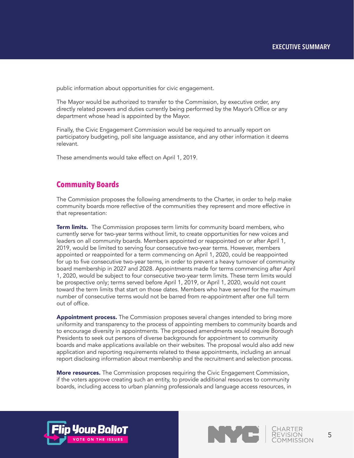public information about opportunities for civic engagement.

The Mayor would be authorized to transfer to the Commission, by executive order, any directly related powers and duties currently being performed by the Mayor's Office or any department whose head is appointed by the Mayor.

Finally, the Civic Engagement Commission would be required to annually report on participatory budgeting, poll site language assistance, and any other information it deems relevant.

These amendments would take effect on April 1, 2019.

### **Community Boards**

The Commission proposes the following amendments to the Charter, in order to help make community boards more reflective of the communities they represent and more effective in that representation:

**Term limits.** The Commission proposes term limits for community board members, who currently serve for two-year terms without limit, to create opportunities for new voices and leaders on all community boards. Members appointed or reappointed on or after April 1, 2019, would be limited to serving four consecutive two-year terms. However, members appointed or reappointed for a term commencing on April 1, 2020, could be reappointed for up to five consecutive two-year terms, in order to prevent a heavy turnover of community board membership in 2027 and 2028. Appointments made for terms commencing after April 1, 2020, would be subject to four consecutive two-year term limits. These term limits would be prospective only; terms served before April 1, 2019, or April 1, 2020, would not count toward the term limits that start on those dates. Members who have served for the maximum number of consecutive terms would not be barred from re-appointment after one full term out of office.

Appointment process. The Commission proposes several changes intended to bring more uniformity and transparency to the process of appointing members to community boards and to encourage diversity in appointments. The proposed amendments would require Borough Presidents to seek out persons of diverse backgrounds for appointment to community boards and make applications available on their websites. The proposal would also add new application and reporting requirements related to these appointments, including an annual report disclosing information about membership and the recruitment and selection process.

**More resources.** The Commission proposes requiring the Civic Engagement Commission, if the voters approve creating such an entity, to provide additional resources to community boards, including access to urban planning professionals and language access resources, in



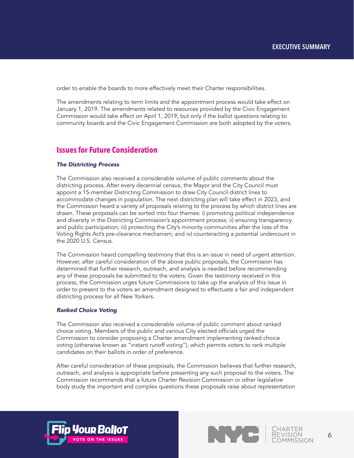order to enable the boards to more effectively meet their Charter responsibilities.

The amendments relating to term limits and the appointment process would take effect on January 1, 2019. The amendments related to resources provided by the Civic Engagement Commission would take effect on April 1, 2019, but only if the ballot questions relating to community boards and the Civic Engagement Commission are both adopted by the voters.

### **Issues for Future Consideration**

#### *The Districting Process*

The Commission also received a considerable volume of public comments about the districting process. After every decennial census, the Mayor and the City Council must appoint a 15-member Districting Commission to draw City Council district lines to accommodate changes in population. The next districting plan will take effect in 2023, and the Commission heard a variety of proposals relating to the process by which district lines are drawn. These proposals can be sorted into four themes: i) promoting political independence and diversity in the Districting Commission's appointment process; ii) ensuring transparency and public participation; iii) protecting the City's minority communities after the loss of the Voting Rights Act's pre-clearance mechanism; and iv) counteracting a potential undercount in the 2020 U.S. Census.

The Commission heard compelling testimony that this is an issue in need of urgent attention. However, after careful consideration of the above public proposals, the Commission has determined that further research, outreach, and analysis is needed before recommending any of these proposals be submitted to the voters. Given the testimony received in this process, the Commission urges future Commissions to take up the analysis of this issue in order to present to the voters an amendment designed to effectuate a fair and independent districting process for all New Yorkers.

#### *Ranked Choice Voting*

The Commission also received a considerable volume of public comment about ranked choice voting. Members of the public and various City elected officials urged the Commission to consider proposing a Charter amendment implementing ranked choice voting (otherwise known as "instant runoff voting"), which permits voters to rank multiple candidates on their ballots in order of preference.

After careful consideration of these proposals, the Commission believes that further research, outreach, and analysis is appropriate before presenting any such proposal to the voters. The Commission recommends that a future Charter Revision Commission or other legislative body study the important and complex questions these proposals raise about representation



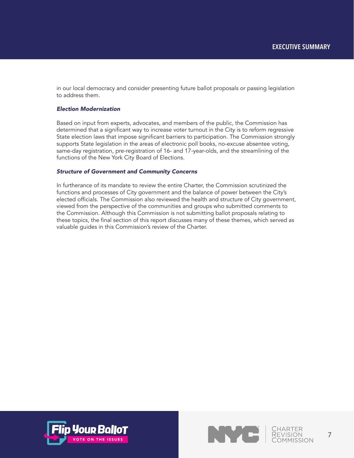in our local democracy and consider presenting future ballot proposals or passing legislation to address them.

### *Election Modernization*

Based on input from experts, advocates, and members of the public, the Commission has determined that a significant way to increase voter turnout in the City is to reform regressive State election laws that impose significant barriers to participation. The Commission strongly supports State legislation in the areas of electronic poll books, no-excuse absentee voting, same-day registration, pre-registration of 16- and 17-year-olds, and the streamlining of the functions of the New York City Board of Elections.

### *Structure of Government and Community Concerns*

In furtherance of its mandate to review the entire Charter, the Commission scrutinized the functions and processes of City government and the balance of power between the City's elected officials. The Commission also reviewed the health and structure of City government, viewed from the perspective of the communities and groups who submitted comments to the Commission. Although this Commission is not submitting ballot proposals relating to these topics, the final section of this report discusses many of these themes, which served as valuable guides in this Commission's review of the Charter.



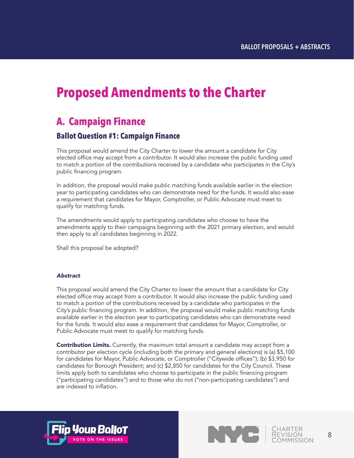# **Proposed Amendments to the Charter**

# **A. Campaign Finance**

## **Ballot Question #1: Campaign Finance**

This proposal would amend the City Charter to lower the amount a candidate for City elected office may accept from a contributor. It would also increase the public funding used to match a portion of the contributions received by a candidate who participates in the City's public financing program.

In addition, the proposal would make public matching funds available earlier in the election year to participating candidates who can demonstrate need for the funds. It would also ease a requirement that candidates for Mayor, Comptroller, or Public Advocate must meet to qualify for matching funds.

The amendments would apply to participating candidates who choose to have the amendments apply to their campaigns beginning with the 2021 primary election, and would then apply to all candidates beginning in 2022.

Shall this proposal be adopted?

#### *Abstract*

This proposal would amend the City Charter to lower the amount that a candidate for City elected office may accept from a contributor. It would also increase the public funding used to match a portion of the contributions received by a candidate who participates in the City's public financing program. In addition, the proposal would make public matching funds available earlier in the election year to participating candidates who can demonstrate need for the funds. It would also ease a requirement that candidates for Mayor, Comptroller, or Public Advocate must meet to qualify for matching funds.

**Contribution Limits.** Currently, the maximum total amount a candidate may accept from a contributor per election cycle (including both the primary and general elections) is (a) \$5,100 for candidates for Mayor, Public Advocate, or Comptroller ("Citywide offices"); (b) \$3,950 for candidates for Borough President; and (c) \$2,850 for candidates for the City Council. These limits apply both to candidates who choose to participate in the public financing program ("participating candidates") and to those who do not ("non-participating candidates") and are indexed to inflation.



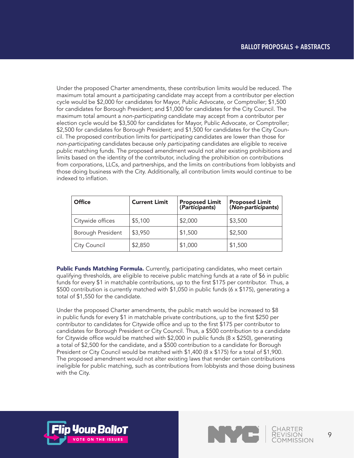Under the proposed Charter amendments, these contribution limits would be reduced. The maximum total amount a *participating* candidate may accept from a contributor per election cycle would be \$2,000 for candidates for Mayor, Public Advocate, or Comptroller; \$1,500 for candidates for Borough President; and \$1,000 for candidates for the City Council. The maximum total amount a *non-participating* candidate may accept from a contributor per election cycle would be \$3,500 for candidates for Mayor, Public Advocate, or Comptroller; \$2,500 for candidates for Borough President; and \$1,500 for candidates for the City Council. The proposed contribution limits for *participating* candidates are lower than those for *non-participating* candidates because only *participating* candidates are eligible to receive public matching funds. The proposed amendment would not alter existing prohibitions and limits based on the identity of the contributor, including the prohibition on contributions from corporations, LLCs, and partnerships, and the limits on contributions from lobbyists and those doing business with the City. Additionally, all contribution limits would continue to be indexed to inflation.

| <b>Office</b>     | <b>Current Limit</b> | Proposed Limit<br>(Participants) | <b>Proposed Limit<br/>(Non-participants)</b> |
|-------------------|----------------------|----------------------------------|----------------------------------------------|
| Citywide offices  | \$5,100              | \$2,000                          | \$3,500                                      |
| Borough President | \$3,950              | \$1,500                          | \$2,500                                      |
| City Council      | \$2,850              | \$1,000                          | \$1,500                                      |

Public Funds Matching Formula. Currently, participating candidates, who meet certain qualifying thresholds, are eligible to receive public matching funds at a rate of \$6 in public funds for every \$1 in matchable contributions, up to the first \$175 per contributor. Thus, a \$500 contribution is currently matched with \$1,050 in public funds (6 x \$175), generating a total of \$1,550 for the candidate.

Under the proposed Charter amendments, the public match would be increased to \$8 in public funds for every \$1 in matchable private contributions, up to the first \$250 per contributor to candidates for Citywide office and up to the first \$175 per contributor to candidates for Borough President or City Council. Thus, a \$500 contribution to a candidate for Citywide office would be matched with  $$2,000$  in public funds (8 x  $$250$ ), generating a total of \$2,500 for the candidate, and a \$500 contribution to a candidate for Borough President or City Council would be matched with  $$1,400$  ( $8 \times $175$ ) for a total of  $$1,900$ . The proposed amendment would not alter existing laws that render certain contributions ineligible for public matching, such as contributions from lobbyists and those doing business with the City.



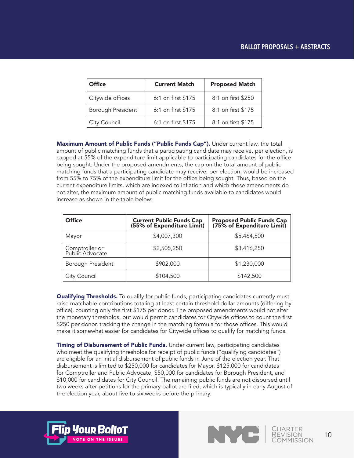### **BALLOT PROPOSALS + ABSTRACTS**

| <b>Office</b>     | <b>Current Match</b> | <b>Proposed Match</b> |
|-------------------|----------------------|-----------------------|
| Citywide offices  | 6:1 on first \$175   | 8:1 on first \$250    |
| Borough President | 6:1 on first \$175   | 8:1 on first \$175    |
| City Council      | 6:1 on first \$175   | 8:1 on first \$175    |

Maximum Amount of Public Funds ("Public Funds Cap"). Under current law, the total amount of public matching funds that a participating candidate may receive, per election, is capped at 55% of the expenditure limit applicable to participating candidates for the office being sought. Under the proposed amendments, the cap on the total amount of public matching funds that a participating candidate may receive, per election, would be increased from 55% to 75% of the expenditure limit for the office being sought. Thus, based on the current expenditure limits, which are indexed to inflation and which these amendments do not alter, the maximum amount of public matching funds available to candidates would increase as shown in the table below:

| <b>Office</b>                     | <b>Current Public Funds Cap (55% of Expenditure Limit)</b> | Proposed Public Funds Cap<br>(75% of Expenditure Limit) |
|-----------------------------------|------------------------------------------------------------|---------------------------------------------------------|
| Mayor                             | \$4,007,300                                                | \$5,464,500                                             |
| Comptroller or<br>Public Advocate | \$2,505,250                                                | \$3,416,250                                             |
| Borough President                 | \$902,000                                                  | \$1,230,000                                             |
| City Council                      | \$104,500                                                  | \$142,500                                               |

**Qualifying Thresholds.** To qualify for public funds, participating candidates currently must raise matchable contributions totaling at least certain threshold dollar amounts (differing by office), counting only the first \$175 per donor. The proposed amendments would not alter the monetary thresholds, but would permit candidates for Citywide offices to count the first \$250 per donor, tracking the change in the matching formula for those offices. This would make it somewhat easier for candidates for Citywide offices to qualify for matching funds.

**Timing of Disbursement of Public Funds.** Under current law, participating candidates who meet the qualifying thresholds for receipt of public funds ("qualifying candidates") are eligible for an initial disbursement of public funds in June of the election year. That disbursement is limited to \$250,000 for candidates for Mayor, \$125,000 for candidates for Comptroller and Public Advocate, \$50,000 for candidates for Borough President, and \$10,000 for candidates for City Council. The remaining public funds are not disbursed until two weeks after petitions for the primary ballot are filed, which is typically in early August of the election year, about five to six weeks before the primary.



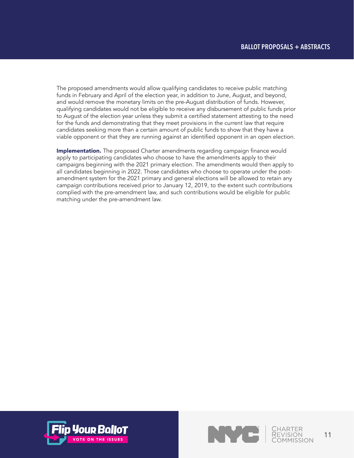The proposed amendments would allow qualifying candidates to receive public matching funds in February and April of the election year, in addition to June, August, and beyond, and would remove the monetary limits on the pre-August distribution of funds. However, qualifying candidates would not be eligible to receive any disbursement of public funds prior to August of the election year unless they submit a certified statement attesting to the need for the funds and demonstrating that they meet provisions in the current law that require candidates seeking more than a certain amount of public funds to show that they have a viable opponent or that they are running against an identified opponent in an open election.

**Implementation.** The proposed Charter amendments regarding campaign finance would apply to participating candidates who choose to have the amendments apply to their campaigns beginning with the 2021 primary election. The amendments would then apply to all candidates beginning in 2022. Those candidates who choose to operate under the postamendment system for the 2021 primary and general elections will be allowed to retain any campaign contributions received prior to January 12, 2019, to the extent such contributions complied with the pre-amendment law, and such contributions would be eligible for public matching under the pre-amendment law.



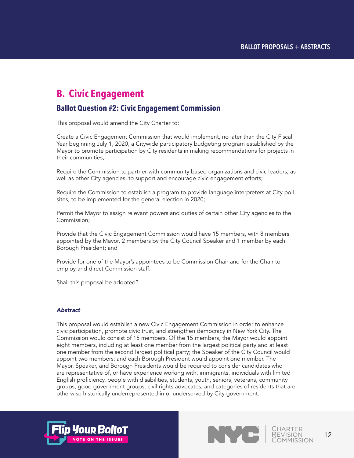# **B. Civic Engagement**

## **Ballot Question #2: Civic Engagement Commission**

This proposal would amend the City Charter to:

Create a Civic Engagement Commission that would implement, no later than the City Fiscal Year beginning July 1, 2020, a Citywide participatory budgeting program established by the Mayor to promote participation by City residents in making recommendations for projects in their communities;

Require the Commission to partner with community based organizations and civic leaders, as well as other City agencies, to support and encourage civic engagement efforts;

Require the Commission to establish a program to provide language interpreters at City poll sites, to be implemented for the general election in 2020;

Permit the Mayor to assign relevant powers and duties of certain other City agencies to the Commission;

Provide that the Civic Engagement Commission would have 15 members, with 8 members appointed by the Mayor, 2 members by the City Council Speaker and 1 member by each Borough President; and

Provide for one of the Mayor's appointees to be Commission Chair and for the Chair to employ and direct Commission staff.

Shall this proposal be adopted?

#### *Abstract*

This proposal would establish a new Civic Engagement Commission in order to enhance civic participation, promote civic trust, and strengthen democracy in New York City. The Commission would consist of 15 members. Of the 15 members, the Mayor would appoint eight members, including at least one member from the largest political party and at least one member from the second largest political party; the Speaker of the City Council would appoint two members; and each Borough President would appoint one member. The Mayor, Speaker, and Borough Presidents would be required to consider candidates who are representative of, or have experience working with, immigrants, individuals with limited English proficiency, people with disabilities, students, youth, seniors, veterans, community groups, good government groups, civil rights advocates, and categories of residents that are otherwise historically underrepresented in or underserved by City government.



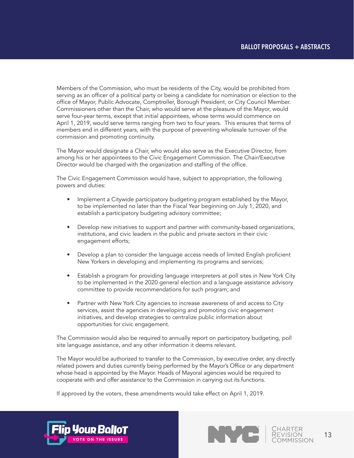Members of the Commission, who must be residents of the City, would be prohibited from serving as an officer of a political party or being a candidate for nomination or election to the office of Mayor, Public Advocate, Comptroller, Borough President, or City Council Member. Commissioners other than the Chair, who would serve at the pleasure of the Mayor, would serve four-year terms, except that initial appointees, whose terms would commence on April 1, 2019, would serve terms ranging from two to four years. This ensures that terms of members end in different years, with the purpose of preventing wholesale turnover of the commission and promoting continuity.

The Mayor would designate a Chair, who would also serve as the Executive Director, from among his or her appointees to the Civic Engagement Commission. The Chair/Executive Director would be charged with the organization and staffing of the office.

The Civic Engagement Commission would have, subject to appropriation, the following powers and duties:

- Implement a Citywide participatory budgeting program established by the Mayor, to be implemented no later than the Fiscal Year beginning on July 1, 2020, and establish a participatory budgeting advisory committee;
- Develop new initiatives to support and partner with community-based organizations, institutions, and civic leaders in the public and private sectors in their civic engagement efforts;
- Develop a plan to consider the language access needs of limited English proficient New Yorkers in developing and implementing its programs and services;
- Establish a program for providing language interpreters at poll sites in New York City to be implemented in the 2020 general election and a language assistance advisory committee to provide recommendations for such program; and
- Partner with New York City agencies to increase awareness of and access to City services, assist the agencies in developing and promoting civic engagement initiatives, and develop strategies to centralize public information about opportunities for civic engagement.

The Commission would also be required to annually report on participatory budgeting, poll site language assistance, and any other information it deems relevant.

The Mayor would be authorized to transfer to the Commission, by executive order, any directly related powers and duties currently being performed by the Mayor's Office or any department whose head is appointed by the Mayor. Heads of Mayoral agencies would be required to cooperate with and offer assistance to the Commission in carrying out its functions.

If approved by the voters, these amendments would take effect on April 1, 2019.



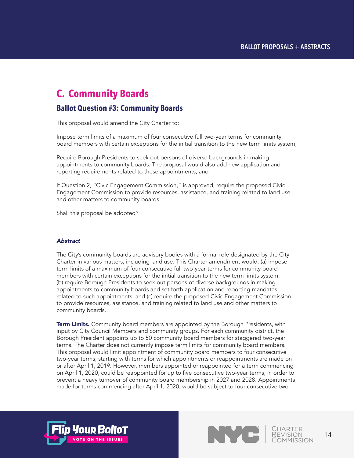# **C. Community Boards**

## **Ballot Question #3: Community Boards**

This proposal would amend the City Charter to:

Impose term limits of a maximum of four consecutive full two-year terms for community board members with certain exceptions for the initial transition to the new term limits system;

Require Borough Presidents to seek out persons of diverse backgrounds in making appointments to community boards. The proposal would also add new application and reporting requirements related to these appointments; and

If Question 2, "Civic Engagement Commission," is approved, require the proposed Civic Engagement Commission to provide resources, assistance, and training related to land use and other matters to community boards.

Shall this proposal be adopted?

#### *Abstract*

The City's community boards are advisory bodies with a formal role designated by the City Charter in various matters, including land use. This Charter amendment would: (a) impose term limits of a maximum of four consecutive full two-year terms for community board members with certain exceptions for the initial transition to the new term limits system; (b) require Borough Presidents to seek out persons of diverse backgrounds in making appointments to community boards and set forth application and reporting mandates related to such appointments; and (c) require the proposed Civic Engagement Commission to provide resources, assistance, and training related to land use and other matters to community boards.

Term Limits. Community board members are appointed by the Borough Presidents, with input by City Council Members and community groups. For each community district, the Borough President appoints up to 50 community board members for staggered two-year terms. The Charter does not currently impose term limits for community board members. This proposal would limit appointment of community board members to four consecutive two-year terms, starting with terms for which appointments or reappointments are made on or after April 1, 2019. However, members appointed or reappointed for a term commencing on April 1, 2020, could be reappointed for up to five consecutive two-year terms, in order to prevent a heavy turnover of community board membership in 2027 and 2028. Appointments made for terms commencing after April 1, 2020, would be subject to four consecutive two-



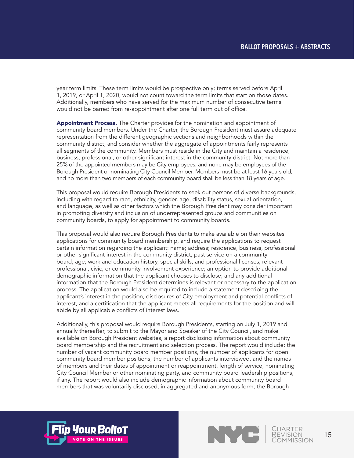year term limits. These term limits would be prospective only; terms served before April 1, 2019, or April 1, 2020, would not count toward the term limits that start on those dates. Additionally, members who have served for the maximum number of consecutive terms would not be barred from re-appointment after one full term out of office.

Appointment Process. The Charter provides for the nomination and appointment of community board members. Under the Charter, the Borough President must assure adequate representation from the different geographic sections and neighborhoods within the community district, and consider whether the aggregate of appointments fairly represents all segments of the community. Members must reside in the City and maintain a residence, business, professional, or other significant interest in the community district. Not more than 25% of the appointed members may be City employees, and none may be employees of the Borough President or nominating City Council Member. Members must be at least 16 years old, and no more than two members of each community board shall be less than 18 years of age.

This proposal would require Borough Presidents to seek out persons of diverse backgrounds, including with regard to race, ethnicity, gender, age, disability status, sexual orientation, and language, as well as other factors which the Borough President may consider important in promoting diversity and inclusion of underrepresented groups and communities on community boards, to apply for appointment to community boards.

This proposal would also require Borough Presidents to make available on their websites applications for community board membership, and require the applications to request certain information regarding the applicant: name; address; residence, business, professional or other significant interest in the community district; past service on a community board; age; work and education history, special skills, and professional licenses; relevant professional, civic, or community involvement experience; an option to provide additional demographic information that the applicant chooses to disclose; and any additional information that the Borough President determines is relevant or necessary to the application process. The application would also be required to include a statement describing the applicant's interest in the position, disclosures of City employment and potential conflicts of interest, and a certification that the applicant meets all requirements for the position and will abide by all applicable conflicts of interest laws.

Additionally, this proposal would require Borough Presidents, starting on July 1, 2019 and annually thereafter, to submit to the Mayor and Speaker of the City Council, and make available on Borough President websites, a report disclosing information about community board membership and the recruitment and selection process. The report would include: the number of vacant community board member positions, the number of applicants for open community board member positions, the number of applicants interviewed, and the names of members and their dates of appointment or reappointment, length of service, nominating City Council Member or other nominating party, and community board leadership positions, if any. The report would also include demographic information about community board members that was voluntarily disclosed, in aggregated and anonymous form; the Borough